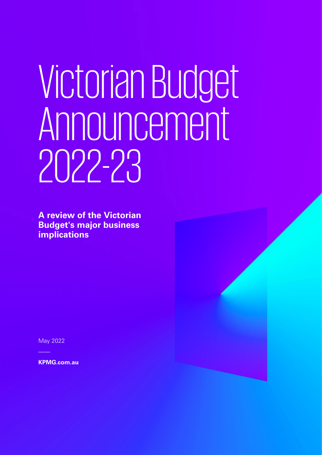# VictorianBudget Announcement 2022-23

**A review of the Victorian Budget's major business implications**

May 2022

**KPMG.com.au**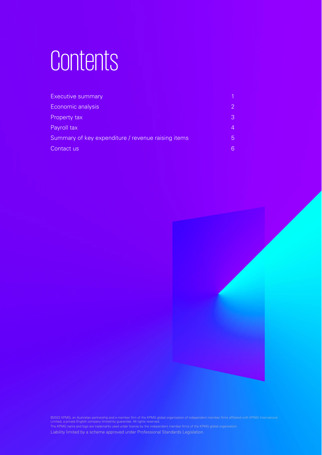## Contents

| Executive summary                                  |                |
|----------------------------------------------------|----------------|
| Economic analysis                                  | $\overline{2}$ |
| Property tax                                       | 3              |
| Payroll tax                                        | $\overline{4}$ |
| Summary of key expenditure / revenue raising items | 5 <sup>5</sup> |
| Contact us                                         | 6              |



©2022 KPMG, an Australian partnership and a member firm of the KPMG global organisation of independent member firms affiliated with KPMG International<br>Limited, a private English company limited by guarantee. All rights res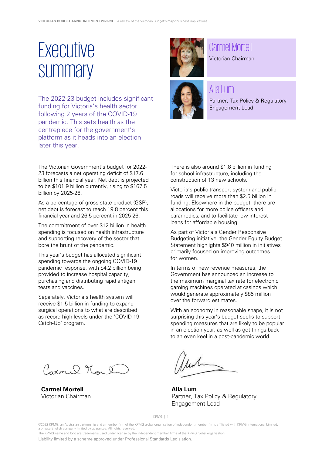### <span id="page-2-0"></span>**Executive summary**

The 2022-23 budget includes significant funding for Victoria's health sector following 2 years of the COVID-19 pandemic. This sets health as the centrepiece for the government's platform as it heads into an election later this year.

The Victorian Government's budget for 2022- 23 forecasts a net operating deficit of \$17.6 billion this financial year. Net debt is projected to be \$101.9 billion currently, rising to \$167.5 billion by 2025-26.

As a percentage of gross state product (GSP), net debt is forecast to reach 19.8 percent this financial year and 26.5 percent in 2025-26.

The commitment of over \$12 billion in health spending is focused on health infrastructure and supporting recovery of the sector that bore the brunt of the pandemic.

This year's budget has allocated significant spending towards the ongoing COVID-19 pandemic response, with \$4.2 billion being provided to increase hospital capacity, purchasing and distributing rapid antigen tests and vaccines.

Separately, Victoria's health system will receive \$1.5 billion in funding to expand surgical operations to what are described as record-high levels under the 'COVID-19 Catch-Up' program.

Carnel Noul

**Carmel Mortell** Victorian Chairman



#### Carmel Mortell

Victorian Chairman



#### Alia Lum

Partner, Tax Policy & Regulatory Engagement Lead

There is also around \$1.8 billion in funding for school infrastructure, including the construction of 13 new schools.

Victoria's public transport system and public roads will receive more than \$2.5 billion in funding. Elsewhere in the budget, there are allocations for more police officers and paramedics, and to facilitate low-interest loans for affordable housing.

As part of Victoria's Gender Responsive Budgeting initiative, the Gender Equity Budget Statement highlights \$940 million in initiatives primarily focused on improving outcomes for women.

In terms of new revenue measures, the Government has announced an increase to the maximum marginal tax rate for electronic gaming machines operated at casinos which would generate approximately \$85 million over the forward estimates.

With an economy in reasonable shape, it is not surprising this year's budget seeks to support spending measures that are likely to be popular in an election year, as well as get things back to an even keel in a post-pandemic world.

**Alia Lum** Partner, Tax Policy & Regulatory Engagement Lead

KPMG | 1

©2022 KPMG, an Australian partnership and a member firm of the KPMG global organisation of independent member firms affiliated with KPMG International Limited, a private English company limited by guarantee. All rights reserved.

The KPMG name and logo are trademarks used under license by the independent member firms of the KPMG global organisation.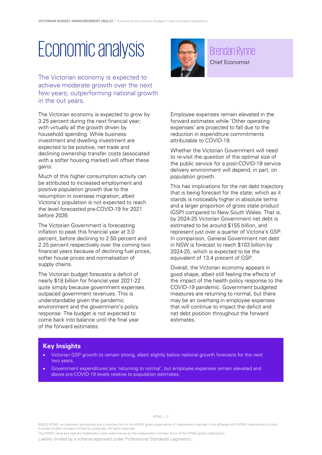### <span id="page-3-0"></span>Economic analysis

The Victorian economy is expected to achieve moderate growth over the next few years; outperforming national growth in the out years.

The Victorian economy is expected to grow by 3.25 percent during the next financial year; with virtually all the growth driven by household spending. While business investment and dwelling investment are expected to be positive, net trade and declining ownership transfer costs (associated with a softer housing market) will offset these gains.

Much of this higher consumption activity can be attributed to increased employment and positive population growth due to the resumption in overseas migration; albeit Victoria's population is not expected to reach the level forecasted pre-COVID-19 for 2021 before 2026.

The Victorian Government is forecasting inflation to peak this financial year at 3.0 percent, before declining to 2.50 percent and 2.25 percent respectively over the coming two financial years because of declining fuel prices, softer house prices and normalisation of supply chains.

The Victorian budget forecasts a deficit of nearly \$18 billion for financial year 2021-22 quite simply because government expenses outpaced government revenues. This is understandable given the pandemic environment and the government's policy response. The budget is not expected to come back into balance until the final year of the forward estimates.



#### Brendan Rynne

Chief Economist

Employee expenses remain elevated in the forward estimates while 'Other operating expenses' are projected to fall due to the reduction in expenditure commitments attributable to COVID-19.

Whether the Victorian Government will need to re-visit the question of the optimal size of the public service for a post-COVID-19 service delivery environment will depend, in part, on population growth.

This has implications for the net debt trajectory that is being forecast for the state; which as it stands is noticeably higher in absolute terms and a larger proportion of gross state product (GSP) compared to New South Wales. That is, by 2024-25 Victorian Government net debt is estimated to be around \$155 billion, and represent just over a quarter of Victoria's GSP. In comparison, General Government net debt in NSW is forecast to reach \$103 billion by 2024-25, which is expected to be the equivalent of 13.4 precent of GSP.

Overall, the Victorian economy appears in good shape, albeit still feeling the effects of the impact of the health policy response to the COVID-19 pandemic. Government budgeted measures are returning to normal, but there may be an overhang in employee expenses that will continue to impact the deficit and net debt position throughout the forward estimates.

#### **Key Insights**

- Victorian GSP growth to remain strong, albeit slightly below national growth forecasts for the next two years.
- Government expenditures are 'returning to normal', but employee expenses remain elevated and above pre-COVID-19 levels relative to population estimates.

KPMG | 2

©2022 KPMG, an Australian partnership and a member firm of the KPMG global organisation of independent member firms affiliated with KPMG International Limited, a private English company limited by guarantee. All rights reserved.

The KPMG name and logo are trademarks used under license by the independent member firms of the KPMG global organisation.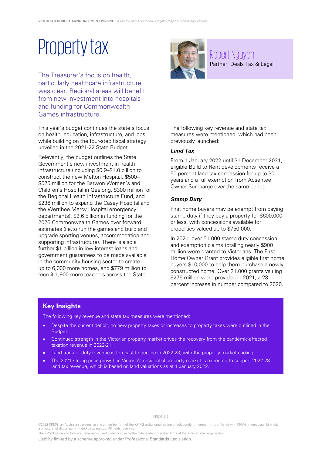### Property tax

<span id="page-4-0"></span>The Treasurer's focus on health, particularly healthcare infrastructure, was clear. Regional areas will benefit from new investment into hospitals and funding for Commonwealth Games infrastructure.

This year's budget continues the state's focus on health, education, infrastructure, and jobs, while building on the four-step fiscal strategy unveiled in the 2021-22 State Budget.

Relevantly, the budget outlines the State Government's new investment in health infrastructure (including \$0.9–\$1.0 billion to construct the new Melton Hospital, \$500– \$525 million for the Barwon Women's and Children's Hospital in Geelong, \$300 million for the Regional Health Infrastructure Fund, and \$236 million to expand the Casey Hospital and the Werribee Mercy Hospital emergency departments), \$2.6 billion in funding for the 2026 Commonwealth Games over forward estimates (i.e.to run the games and build and upgrade sporting venues, accommodation and supporting infrastructure). There is also a further \$1 billion in low interest loans and government guarantees to be made available in the community housing sector to create up to 6,000 more homes, and \$779 million to recruit 1,900 more teachers across the State.



Robert Nguyen Partner, Deals Tax & Legal

The following key revenue and state tax measures were mentioned, which had been previously launched:

#### **Land Tax**

From 1 January 2022 until 31 December 2031, eligible Build to Rent developments receive a 50 percent land tax concession for up to 30 years and a full exemption from Absentee Owner Surcharge over the same period.

#### **Stamp Duty**

First home buyers may be exempt from paying stamp duty if they buy a property for \$600,000 or less, with concessions available for properties valued up to \$750,000.

In 2021, over 51,000 stamp duty concession and exemption claims totalling nearly \$900 million were granted to Victorians. The First Home Owner Grant provides eligible first home buyers \$10,000 to help them purchase a newly constructed home. Over 21,000 grants valuing \$275 million were provided in 2021, a 23 percent increase in number compared to 2020.

#### **Key Insights**

The following key revenue and state tax measures were mentioned:

- Despite the current deficit, no new property taxes or increases to property taxes were outlined in the Budget.
- Continued strength in the Victorian property market drives the recovery from the pandemic-affected taxation revenue in 2022-21.
- Land transfer duty revenue is forecast to decline in 2022-23, with the property market cooling.
- The 2021 strong price growth in Victoria's residential property market is expected to support 2022-23 land tax revenue, which is based on land valuations as at 1 January 2022.

©2022 KPMG, an Australian partnership and a member firm of the KPMG global organisation of independent member firms affiliated with KPMG International Limited, a private English company limited by guarantee. All rights reserved.

The KPMG name and logo are trademarks used under license by the independent member firms of the KPMG global organisation.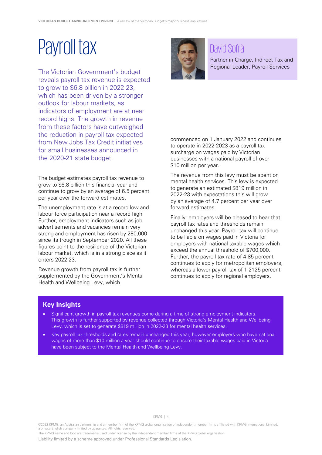### <span id="page-5-0"></span>Payroll tax

The Victorian Government's budget reveals payroll tax revenue is expected to grow to \$6.8 billion in 2022-23, which has been driven by a stronger outlook for labour markets, as indicators of employment are at near record highs. The growth in revenue from these factors have outweighed the reduction in payroll tax expected from New Jobs Tax Credit initiatives for small businesses announced in the 2020-21 state budget.

The budget estimates payroll tax revenue to grow to \$6.8 billion this financial year and continue to grow by an average of 6.5 percent per year over the forward estimates.

The unemployment rate is at a record low and labour force participation near a record high. Further, employment indicators such as job advertisements and vacancies remain very strong and employment has risen by 280,000 since its trough in September 2020. All these figures point to the resilience of the Victorian labour market, which is in a strong place as it enters 2022-23.

Revenue growth from payroll tax is further supplemented by the Government's Mental Health and Wellbeing Levy, which



#### David Sofrà

Partner in Charge, Indirect Tax and Regional Leader, Payroll Services

commenced on 1 January 2022 and continues to operate in 2022-2023 as a payroll tax surcharge on wages paid by Victorian businesses with a national payroll of over \$10 million per year.

The revenue from this levy must be spent on mental health services. This levy is expected to generate an estimated \$819 million in 2022-23 with expectations this will grow by an average of 4.7 percent per year over forward estimates.

Finally, employers will be pleased to hear that payroll tax rates and thresholds remain unchanged this year. Payroll tax will continue to be liable on wages paid in Victoria for employers with national taxable wages which exceed the annual threshold of \$700,000. Further, the payroll tax rate of 4.85 percent continues to apply for metropolitan employers, whereas a lower payroll tax of 1.2125 percent continues to apply for regional employers.

#### **Key Insights**

- Significant growth in payroll tax revenues come during a time of strong employment indicators. This growth is further supported by revenue collected through Victoria's Mental Health and Wellbeing Levy, which is set to generate \$819 million in 2022-23 for mental health services.
- Key payroll tax thresholds and rates remain unchanged this year, however employers who have national wages of more than \$10 million a year should continue to ensure their taxable wages paid in Victoria have been subject to the Mental Health and Wellbeing Levy.

©2022 KPMG, an Australian partnership and a member firm of the KPMG global organisation of independent member firms affiliated with KPMG International Limited, a private English company limited by guarantee. All rights reserved.

The KPMG name and logo are trademarks used under license by the independent member firms of the KPMG global organisation.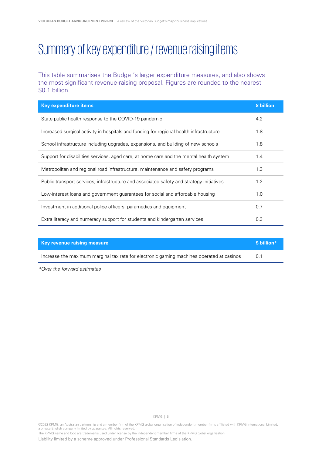### <span id="page-6-0"></span>Summary of key expenditure / revenue raising items

This table summarises the Budget's larger expenditure measures, and also shows the most significant revenue-raising proposal. Figures are rounded to the nearest \$0.1 billion.

| <b>Key expenditure items</b>                                                             | \$ billion |
|------------------------------------------------------------------------------------------|------------|
| State public health response to the COVID-19 pandemic                                    | 4.2        |
| Increased surgical activity in hospitals and funding for regional health infrastructure  | 1.8        |
| School infrastructure including upgrades, expansions, and building of new schools        | 1.8        |
| Support for disabilities services, aged care, at home care and the mental health system  | 1.4        |
| Metropolitan and regional road infrastructure, maintenance and safety programs           | 1.3        |
| Public transport services, infrastructure and associated safety and strategy initiatives | 1.2        |
| Low-interest loans and government guarantees for social and affordable housing           | 1.0        |
| Investment in additional police officers, paramedics and equipment                       | 0.7        |
| Extra literacy and numeracy support for students and kindergarten services               | 0.3        |

| <b>Key revenue raising measure</b>                                                        | \$ billion* |
|-------------------------------------------------------------------------------------------|-------------|
| Increase the maximum marginal tax rate for electronic gaming machines operated at casinos | 0.1         |

\*Over the forward estimates

KPMG | 5

The KPMG name and logo are trademarks used under license by the independent member firms of the KPMG global organisation.